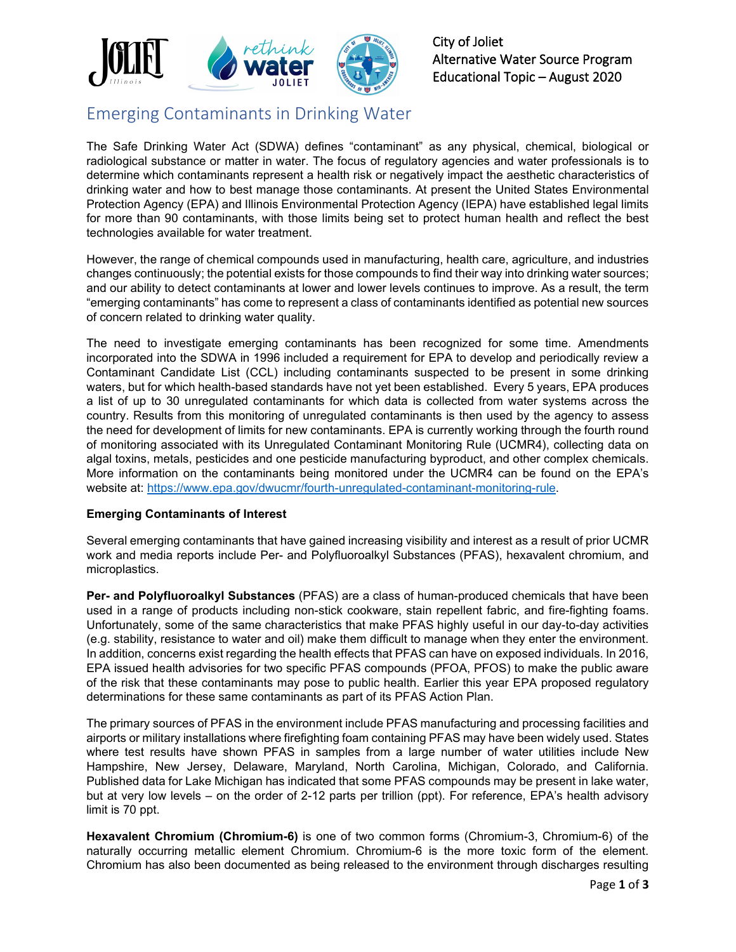

City of Joliet Alternative Water Source Program Educational Topic – August 2020

## Emerging Contaminants in Drinking Water

The Safe Drinking Water Act (SDWA) defines "contaminant" as any physical, chemical, biological or radiological substance or matter in water. The focus of regulatory agencies and water professionals is to determine which contaminants represent a health risk or negatively impact the aesthetic characteristics of drinking water and how to best manage those contaminants. At present the United States Environmental Protection Agency (EPA) and Illinois Environmental Protection Agency (IEPA) have established legal limits for more than 90 contaminants, with those limits being set to protect human health and reflect the best technologies available for water treatment.

However, the range of chemical compounds used in manufacturing, health care, agriculture, and industries changes continuously; the potential exists for those compounds to find their way into drinking water sources; and our ability to detect contaminants at lower and lower levels continues to improve. As a result, the term "emerging contaminants" has come to represent a class of contaminants identified as potential new sources of concern related to drinking water quality.

The need to investigate emerging contaminants has been recognized for some time. Amendments incorporated into the SDWA in 1996 included a requirement for EPA to develop and periodically review a Contaminant Candidate List (CCL) including contaminants suspected to be present in some drinking waters, but for which health-based standards have not yet been established. Every 5 years, EPA produces a list of up to 30 unregulated contaminants for which data is collected from water systems across the country. Results from this monitoring of unregulated contaminants is then used by the agency to assess the need for development of limits for new contaminants. EPA is currently working through the fourth round of monitoring associated with its Unregulated Contaminant Monitoring Rule (UCMR4), collecting data on algal toxins, metals, pesticides and one pesticide manufacturing byproduct, and other complex chemicals. More information on the contaminants being monitored under the UCMR4 can be found on the EPA's website at: [https://www.epa.gov/dwucmr/fourth-unregulated-contaminant-monitoring-rule.](https://www.epa.gov/dwucmr/fourth-unregulated-contaminant-monitoring-rule)

## **Emerging Contaminants of Interest**

Several emerging contaminants that have gained increasing visibility and interest as a result of prior UCMR work and media reports include Per- and Polyfluoroalkyl Substances (PFAS), hexavalent chromium, and microplastics.

**Per- and Polyfluoroalkyl Substances** (PFAS) are a class of human-produced chemicals that have been used in a range of products including non-stick cookware, stain repellent fabric, and fire-fighting foams. Unfortunately, some of the same characteristics that make PFAS highly useful in our day-to-day activities (e.g. stability, resistance to water and oil) make them difficult to manage when they enter the environment. In addition, concerns exist regarding the health effects that PFAS can have on exposed individuals. In 2016, EPA issued health advisories for two specific PFAS compounds (PFOA, PFOS) to make the public aware of the risk that these contaminants may pose to public health. Earlier this year EPA proposed regulatory determinations for these same contaminants as part of its PFAS Action Plan.

The primary sources of PFAS in the environment include PFAS manufacturing and processing facilities and airports or military installations where firefighting foam containing PFAS may have been widely used. States where test results have shown PFAS in samples from a large number of water utilities include New Hampshire, New Jersey, Delaware, Maryland, North Carolina, Michigan, Colorado, and California. Published data for Lake Michigan has indicated that some PFAS compounds may be present in lake water, but at very low levels – on the order of 2-12 parts per trillion (ppt). For reference, EPA's health advisory limit is 70 ppt.

**Hexavalent Chromium (Chromium-6)** is one of two common forms (Chromium-3, Chromium-6) of the naturally occurring metallic element Chromium. Chromium-6 is the more toxic form of the element. Chromium has also been documented as being released to the environment through discharges resulting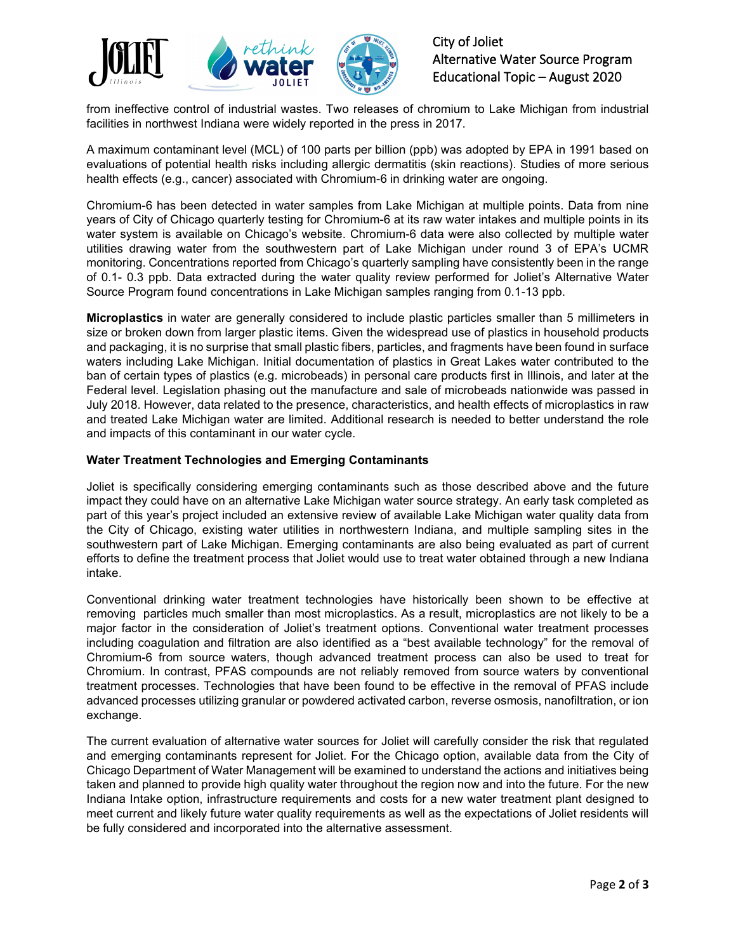

City of Joliet Alternative Water Source Program Educational Topic – August 2020

from ineffective control of industrial wastes. Two releases of chromium to Lake Michigan from industrial facilities in northwest Indiana were widely reported in the press in 2017.

A maximum contaminant level (MCL) of 100 parts per billion (ppb) was adopted by EPA in 1991 based on evaluations of potential health risks including allergic dermatitis (skin reactions). Studies of more serious health effects (e.g., cancer) associated with Chromium-6 in drinking water are ongoing.

Chromium-6 has been detected in water samples from Lake Michigan at multiple points. Data from nine years of City of Chicago quarterly testing for Chromium-6 at its raw water intakes and multiple points in its water system is available on Chicago's website. Chromium-6 data were also collected by multiple water utilities drawing water from the southwestern part of Lake Michigan under round 3 of EPA's UCMR monitoring. Concentrations reported from Chicago's quarterly sampling have consistently been in the range of 0.1- 0.3 ppb. Data extracted during the water quality review performed for Joliet's Alternative Water Source Program found concentrations in Lake Michigan samples ranging from 0.1-13 ppb.

**Microplastics** in water are generally considered to include plastic particles smaller than 5 millimeters in size or broken down from larger plastic items. Given the widespread use of plastics in household products and packaging, it is no surprise that small plastic fibers, particles, and fragments have been found in surface waters including Lake Michigan. Initial documentation of plastics in Great Lakes water contributed to the ban of certain types of plastics (e.g. microbeads) in personal care products first in Illinois, and later at the Federal level. Legislation phasing out the manufacture and sale of microbeads nationwide was passed in July 2018. However, data related to the presence, characteristics, and health effects of microplastics in raw and treated Lake Michigan water are limited. Additional research is needed to better understand the role and impacts of this contaminant in our water cycle.

## **Water Treatment Technologies and Emerging Contaminants**

Joliet is specifically considering emerging contaminants such as those described above and the future impact they could have on an alternative Lake Michigan water source strategy. An early task completed as part of this year's project included an extensive review of available Lake Michigan water quality data from the City of Chicago, existing water utilities in northwestern Indiana, and multiple sampling sites in the southwestern part of Lake Michigan. Emerging contaminants are also being evaluated as part of current efforts to define the treatment process that Joliet would use to treat water obtained through a new Indiana intake.

Conventional drinking water treatment technologies have historically been shown to be effective at removing particles much smaller than most microplastics. As a result, microplastics are not likely to be a major factor in the consideration of Joliet's treatment options. Conventional water treatment processes including coagulation and filtration are also identified as a "best available technology" for the removal of Chromium-6 from source waters, though advanced treatment process can also be used to treat for Chromium. In contrast, PFAS compounds are not reliably removed from source waters by conventional treatment processes. Technologies that have been found to be effective in the removal of PFAS include advanced processes utilizing granular or powdered activated carbon, reverse osmosis, nanofiltration, or ion exchange.

The current evaluation of alternative water sources for Joliet will carefully consider the risk that regulated and emerging contaminants represent for Joliet. For the Chicago option, available data from the City of Chicago Department of Water Management will be examined to understand the actions and initiatives being taken and planned to provide high quality water throughout the region now and into the future. For the new Indiana Intake option, infrastructure requirements and costs for a new water treatment plant designed to meet current and likely future water quality requirements as well as the expectations of Joliet residents will be fully considered and incorporated into the alternative assessment.